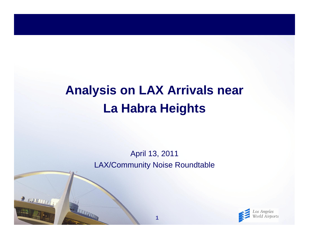# **Analysis on LAX Arrivals near La Habra Heights**

April 13, 2011 LAX/Community Noise Roundtable

**1**

R MULTITTI

**TELEVISION** 

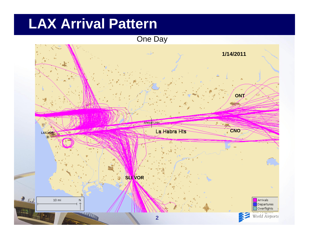# **LAX Arrival Pattern**

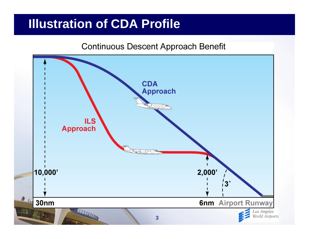## **Illustration of CDA Profile**

#### **Continuous Descent Approach Benefit**

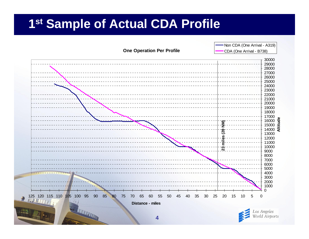#### **1st Sample of Actual CDA Profile**

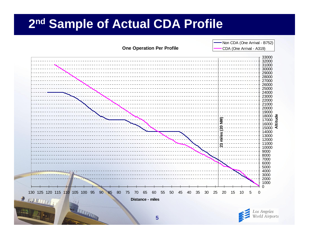#### **2n<sup>d</sup> Sample of Actual CDA Profile**

**One Operation Per Profile**

- Non CDA (One Arrival - B752) CDA (One Arrival - A319)

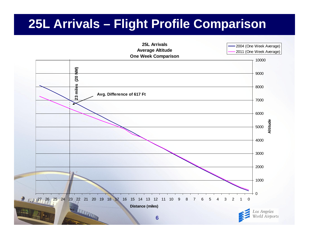## **25L Arrivals – Flight Profile Comparison**

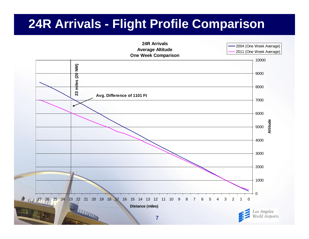## **24R Arrivals - Flight Profile Comparison**

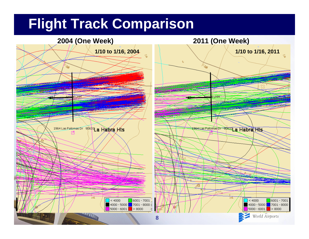# **Flight Track Comparison**

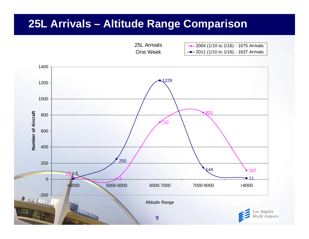#### **25L Arrivals – Altitude Range Comparison**